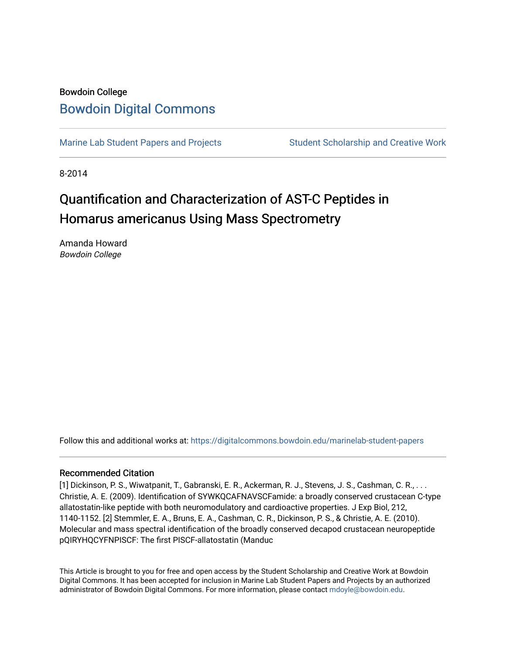# Bowdoin College [Bowdoin Digital Commons](https://digitalcommons.bowdoin.edu/)

[Marine Lab Student Papers and Projects](https://digitalcommons.bowdoin.edu/marinelab-student-papers) Student Scholarship and Creative Work

8-2014

# Quantification and Characterization of AST-C Peptides in Homarus americanus Using Mass Spectrometry

Amanda Howard Bowdoin College

Follow this and additional works at: [https://digitalcommons.bowdoin.edu/marinelab-student-papers](https://digitalcommons.bowdoin.edu/marinelab-student-papers?utm_source=digitalcommons.bowdoin.edu%2Fmarinelab-student-papers%2F25&utm_medium=PDF&utm_campaign=PDFCoverPages) 

# Recommended Citation

[1] Dickinson, P. S., Wiwatpanit, T., Gabranski, E. R., Ackerman, R. J., Stevens, J. S., Cashman, C. R., . . . Christie, A. E. (2009). Identification of SYWKQCAFNAVSCFamide: a broadly conserved crustacean C-type allatostatin-like peptide with both neuromodulatory and cardioactive properties. J Exp Biol, 212, 1140-1152. [2] Stemmler, E. A., Bruns, E. A., Cashman, C. R., Dickinson, P. S., & Christie, A. E. (2010). Molecular and mass spectral identification of the broadly conserved decapod crustacean neuropeptide pQIRYHQCYFNPISCF: The first PISCF-allatostatin (Manduc

This Article is brought to you for free and open access by the Student Scholarship and Creative Work at Bowdoin Digital Commons. It has been accepted for inclusion in Marine Lab Student Papers and Projects by an authorized administrator of Bowdoin Digital Commons. For more information, please contact [mdoyle@bowdoin.edu.](mailto:mdoyle@bowdoin.edu)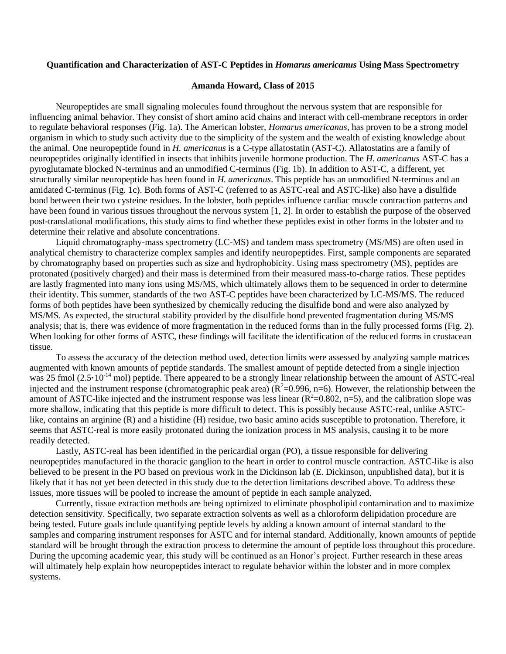#### **Quantification and Characterization of AST-C Peptides in** *Homarus americanus* **Using Mass Spectrometry**

#### **Amanda Howard, Class of 2015**

Neuropeptides are small signaling molecules found throughout the nervous system that are responsible for influencing animal behavior. They consist of short amino acid chains and interact with cell-membrane receptors in order to regulate behavioral responses (Fig. 1a). The American lobster, *Homarus americanus*, has proven to be a strong model organism in which to study such activity due to the simplicity of the system and the wealth of existing knowledge about the animal. One neuropeptide found in *H. americanus* is a C-type allatostatin (AST-C). Allatostatins are a family of neuropeptides originally identified in insects that inhibits juvenile hormone production. The *H. americanus* AST-C has a pyroglutamate blocked N-terminus and an unmodified C-terminus (Fig. 1b). In addition to AST-C, a different, yet structurally similar neuropeptide has been found in *H. americanus*. This peptide has an unmodified N-terminus and an amidated C-terminus (Fig. 1c). Both forms of AST-C (referred to as ASTC-real and ASTC-like) also have a disulfide bond between their two cysteine residues. In the lobster, both peptides influence cardiac muscle contraction patterns and have been found in various tissues throughout the nervous system [1, 2]. In order to establish the purpose of the observed post-translational modifications, this study aims to find whether these peptides exist in other forms in the lobster and to determine their relative and absolute concentrations.

Liquid chromatography-mass spectrometry (LC-MS) and tandem mass spectrometry (MS/MS) are often used in analytical chemistry to characterize complex samples and identify neuropeptides. First, sample components are separated by chromatography based on properties such as size and hydrophobicity. Using mass spectrometry (MS), peptides are protonated (positively charged) and their mass is determined from their measured mass-to-charge ratios. These peptides are lastly fragmented into many ions using MS/MS, which ultimately allows them to be sequenced in order to determine their identity. This summer, standards of the two AST-C peptides have been characterized by LC-MS/MS. The reduced forms of both peptides have been synthesized by chemically reducing the disulfide bond and were also analyzed by MS/MS. As expected, the structural stability provided by the disulfide bond prevented fragmentation during MS/MS analysis; that is, there was evidence of more fragmentation in the reduced forms than in the fully processed forms (Fig. 2). When looking for other forms of ASTC, these findings will facilitate the identification of the reduced forms in crustacean tissue.

To assess the accuracy of the detection method used, detection limits were assessed by analyzing sample matrices augmented with known amounts of peptide standards. The smallest amount of peptide detected from a single injection was 25 fmol (2.5 $\cdot$ 10<sup>-14</sup> mol) peptide. There appeared to be a strongly linear relationship between the amount of ASTC-real injected and the instrument response (chromatographic peak area)  $(R^2=0.996, n=6)$ . However, the relationship between the amount of ASTC-like injected and the instrument response was less linear  $(R^2=0.802, n=5)$ , and the calibration slope was more shallow, indicating that this peptide is more difficult to detect. This is possibly because ASTC-real, unlike ASTClike, contains an arginine (R) and a histidine (H) residue, two basic amino acids susceptible to protonation. Therefore, it seems that ASTC-real is more easily protonated during the ionization process in MS analysis, causing it to be more readily detected.

Lastly, ASTC-real has been identified in the pericardial organ (PO), a tissue responsible for delivering neuropeptides manufactured in the thoracic ganglion to the heart in order to control muscle contraction. ASTC-like is also believed to be present in the PO based on previous work in the Dickinson lab (E. Dickinson, unpublished data), but it is likely that it has not yet been detected in this study due to the detection limitations described above. To address these issues, more tissues will be pooled to increase the amount of peptide in each sample analyzed.

Currently, tissue extraction methods are being optimized to eliminate phospholipid contamination and to maximize detection sensitivity. Specifically, two separate extraction solvents as well as a chloroform delipidation procedure are being tested. Future goals include quantifying peptide levels by adding a known amount of internal standard to the samples and comparing instrument responses for ASTC and for internal standard. Additionally, known amounts of peptide standard will be brought through the extraction process to determine the amount of peptide loss throughout this procedure. During the upcoming academic year, this study will be continued as an Honor's project. Further research in these areas will ultimately help explain how neuropeptides interact to regulate behavior within the lobster and in more complex systems.